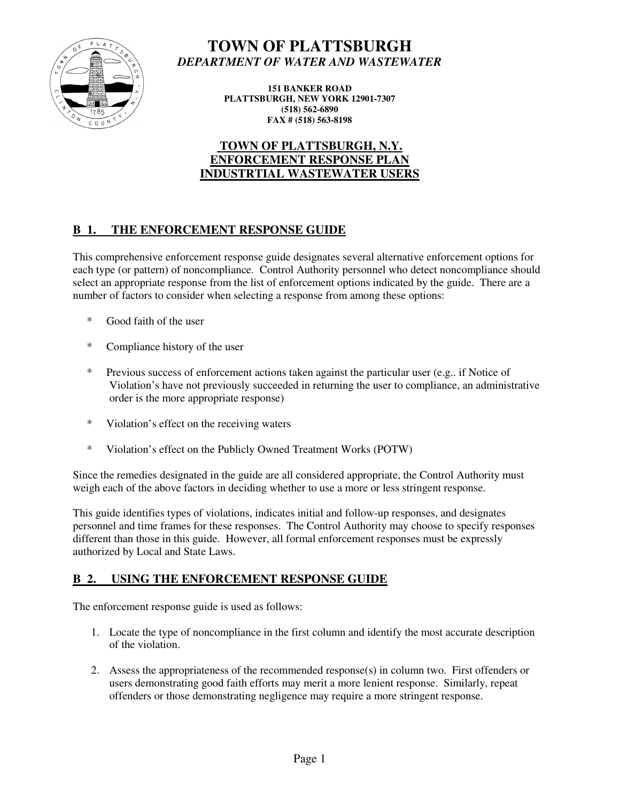

# **TOWN OF PLATTSBURGH**  *DEPARTMENT OF WATER AND WASTEWATER*

**151 BANKER ROAD PLATTSBURGH, NEW YORK 12901-7307 (518) 562-6890 FAX # (518) 563-8198** 

# **TOWN OF PLATTSBURGH, N.Y. ENFORCEMENT RESPONSE PLAN INDUSTRTIAL WASTEWATER USERS**

# **B 1. THE ENFORCEMENT RESPONSE GUIDE**

This comprehensive enforcement response guide designates several alternative enforcement options for each type (or pattern) of noncompliance. Control Authority personnel who detect noncompliance should select an appropriate response from the list of enforcement options indicated by the guide. There are a number of factors to consider when selecting a response from among these options:

- \* Good faith of the user
- \* Compliance history of the user
- \* Previous success of enforcement actions taken against the particular user (e.g.. if Notice of Violation's have not previously succeeded in returning the user to compliance, an administrative order is the more appropriate response)
- \* Violation's effect on the receiving waters
- \* Violation's effect on the Publicly Owned Treatment Works (POTW)

Since the remedies designated in the guide are all considered appropriate, the Control Authority must weigh each of the above factors in deciding whether to use a more or less stringent response.

This guide identifies types of violations, indicates initial and follow-up responses, and designates personnel and time frames for these responses. The Control Authority may choose to specify responses different than those in this guide. However, all formal enforcement responses must be expressly authorized by Local and State Laws.

## **B 2. USING THE ENFORCEMENT RESPONSE GUIDE**

The enforcement response guide is used as follows:

- 1. Locate the type of noncompliance in the first column and identify the most accurate description of the violation.
- 2. Assess the appropriateness of the recommended response(s) in column two. First offenders or users demonstrating good faith efforts may merit a more lenient response. Similarly, repeat offenders or those demonstrating negligence may require a more stringent response.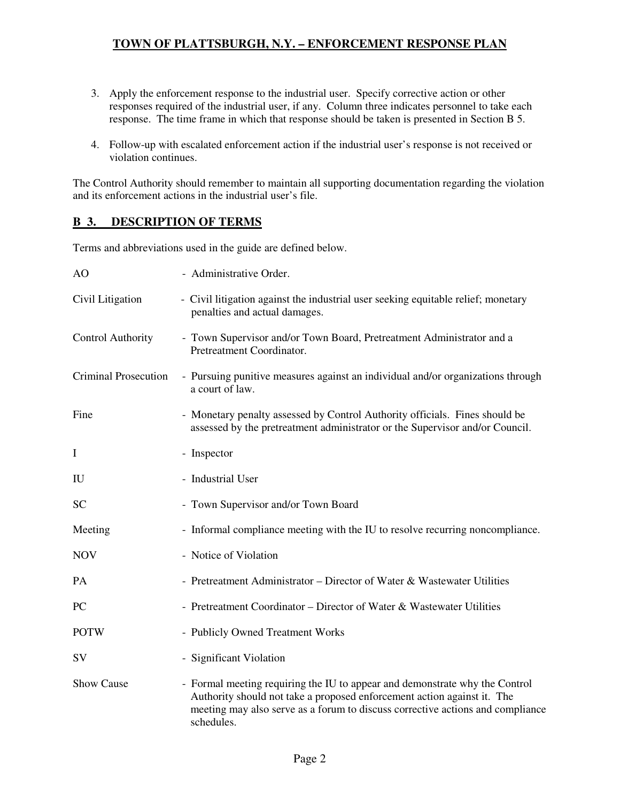- 3. Apply the enforcement response to the industrial user. Specify corrective action or other responses required of the industrial user, if any. Column three indicates personnel to take each response. The time frame in which that response should be taken is presented in Section B 5.
- 4. Follow-up with escalated enforcement action if the industrial user's response is not received or violation continues.

The Control Authority should remember to maintain all supporting documentation regarding the violation and its enforcement actions in the industrial user's file.

### **B 3. DESCRIPTION OF TERMS**

Terms and abbreviations used in the guide are defined below.

| AO                          | - Administrative Order.                                                                                                                                                                                                                                |
|-----------------------------|--------------------------------------------------------------------------------------------------------------------------------------------------------------------------------------------------------------------------------------------------------|
| Civil Litigation            | - Civil litigation against the industrial user seeking equitable relief; monetary<br>penalties and actual damages.                                                                                                                                     |
| <b>Control Authority</b>    | - Town Supervisor and/or Town Board, Pretreatment Administrator and a<br>Pretreatment Coordinator.                                                                                                                                                     |
| <b>Criminal Prosecution</b> | - Pursuing punitive measures against an individual and/or organizations through<br>a court of law.                                                                                                                                                     |
| Fine                        | - Monetary penalty assessed by Control Authority officials. Fines should be<br>assessed by the pretreatment administrator or the Supervisor and/or Council.                                                                                            |
| $\mathbf I$                 | - Inspector                                                                                                                                                                                                                                            |
| IU                          | - Industrial User                                                                                                                                                                                                                                      |
| <b>SC</b>                   | - Town Supervisor and/or Town Board                                                                                                                                                                                                                    |
| Meeting                     | - Informal compliance meeting with the IU to resolve recurring noncompliance.                                                                                                                                                                          |
| <b>NOV</b>                  | - Notice of Violation                                                                                                                                                                                                                                  |
| PA                          | - Pretreatment Administrator – Director of Water & Wastewater Utilities                                                                                                                                                                                |
| PC                          | - Pretreatment Coordinator – Director of Water & Wastewater Utilities                                                                                                                                                                                  |
| <b>POTW</b>                 | - Publicly Owned Treatment Works                                                                                                                                                                                                                       |
| SV                          | - Significant Violation                                                                                                                                                                                                                                |
| <b>Show Cause</b>           | - Formal meeting requiring the IU to appear and demonstrate why the Control<br>Authority should not take a proposed enforcement action against it. The<br>meeting may also serve as a forum to discuss corrective actions and compliance<br>schedules. |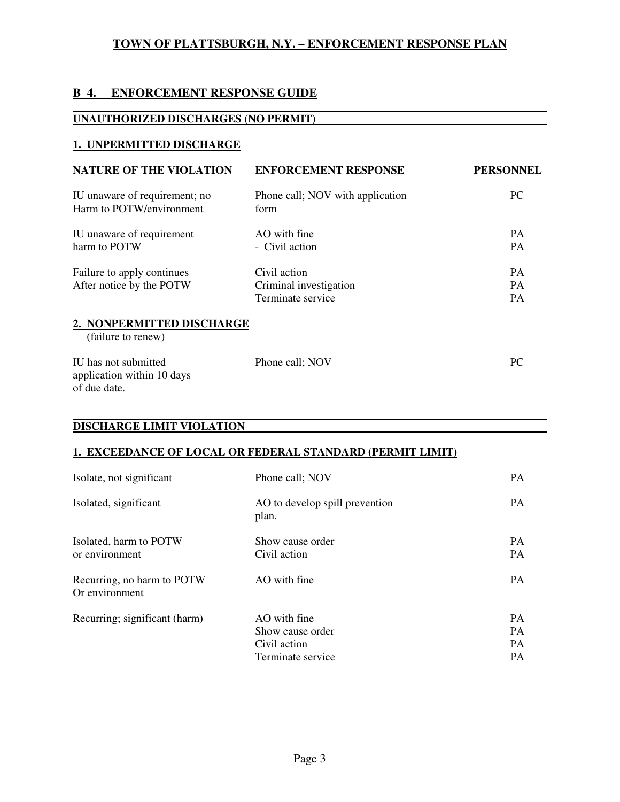# **B 4. ENFORCEMENT RESPONSE GUIDE**

### **UNAUTHORIZED DISCHARGES (NO PERMIT)**

### **1. UNPERMITTED DISCHARGE**

| <b>NATURE OF THE VIOLATION</b>                            | <b>ENFORCEMENT RESPONSE</b>                                 | <b>PERSONNEL</b>                    |
|-----------------------------------------------------------|-------------------------------------------------------------|-------------------------------------|
| IU unaware of requirement; no<br>Harm to POTW/environment | Phone call; NOV with application<br>form                    | PC.                                 |
| IU unaware of requirement<br>harm to POTW                 | $AO$ with fine<br>- Civil action                            | <b>PA</b><br><b>PA</b>              |
| Failure to apply continues<br>After notice by the POTW    | Civil action<br>Criminal investigation<br>Terminate service | <b>PA</b><br><b>PA</b><br><b>PA</b> |
| 2. NONPERMITTED DISCHARGE<br>(failure to renew)           |                                                             |                                     |

| IU has not submitted       | Phone call: NOV | PC. |
|----------------------------|-----------------|-----|
| application within 10 days |                 |     |
| of due date.               |                 |     |

#### **DISCHARGE LIMIT VIOLATION**

### **1. EXCEEDANCE OF LOCAL OR FEDERAL STANDARD (PERMIT LIMIT)**

| Isolate, not significant                     | Phone call; NOV                                                       | <b>PA</b>                                 |
|----------------------------------------------|-----------------------------------------------------------------------|-------------------------------------------|
| Isolated, significant                        | AO to develop spill prevention<br>plan.                               | <b>PA</b>                                 |
| Isolated, harm to POTW<br>or environment     | Show cause order<br>Civil action                                      | <b>PA</b><br><b>PA</b>                    |
| Recurring, no harm to POTW<br>Or environment | AO with fine                                                          | <b>PA</b>                                 |
| Recurring; significant (harm)                | AO with fine<br>Show cause order<br>Civil action<br>Terminate service | <b>PA</b><br>PA<br><b>PA</b><br><b>PA</b> |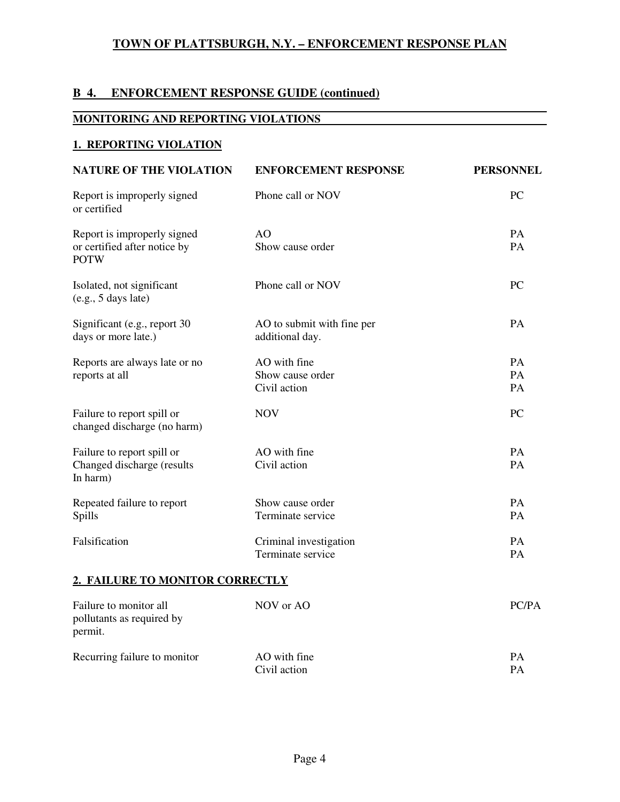# **B 4. ENFORCEMENT RESPONSE GUIDE (continued)**

#### **MONITORING AND REPORTING VIOLATIONS**

#### **1. REPORTING VIOLATION**

| <b>NATURE OF THE VIOLATION</b>                                             | <b>ENFORCEMENT RESPONSE</b>                   | <b>PERSONNEL</b> |
|----------------------------------------------------------------------------|-----------------------------------------------|------------------|
| Report is improperly signed<br>or certified                                | Phone call or NOV                             | <b>PC</b>        |
| Report is improperly signed<br>or certified after notice by<br><b>POTW</b> | AO<br>Show cause order                        | <b>PA</b><br>PA  |
| Isolated, not significant<br>(e.g., 5 days late)                           | Phone call or NOV                             | PC               |
| Significant (e.g., report 30<br>days or more late.)                        | AO to submit with fine per<br>additional day. | PA               |
| Reports are always late or no                                              | AO with fine                                  | PA               |
| reports at all                                                             | Show cause order<br>Civil action              | PA<br>PA         |
| Failure to report spill or<br>changed discharge (no harm)                  | <b>NOV</b>                                    | PC               |
| Failure to report spill or                                                 | AO with fine                                  | PA               |
| Changed discharge (results<br>In harm)                                     | Civil action                                  | PA               |
| Repeated failure to report                                                 | Show cause order                              | PA               |
| Spills                                                                     | Terminate service                             | PA               |
| Falsification                                                              | Criminal investigation                        | PA               |
|                                                                            | Terminate service                             | PA               |
| <b>2. FAILURE TO MONITOR CORRECTLY</b>                                     |                                               |                  |
| Failure to monitor all<br>pollutants as required by<br>permit.             | NOV or AO                                     | PC/PA            |

| Recurring failure to monitor | AO with fine |  |
|------------------------------|--------------|--|
|                              | Civil action |  |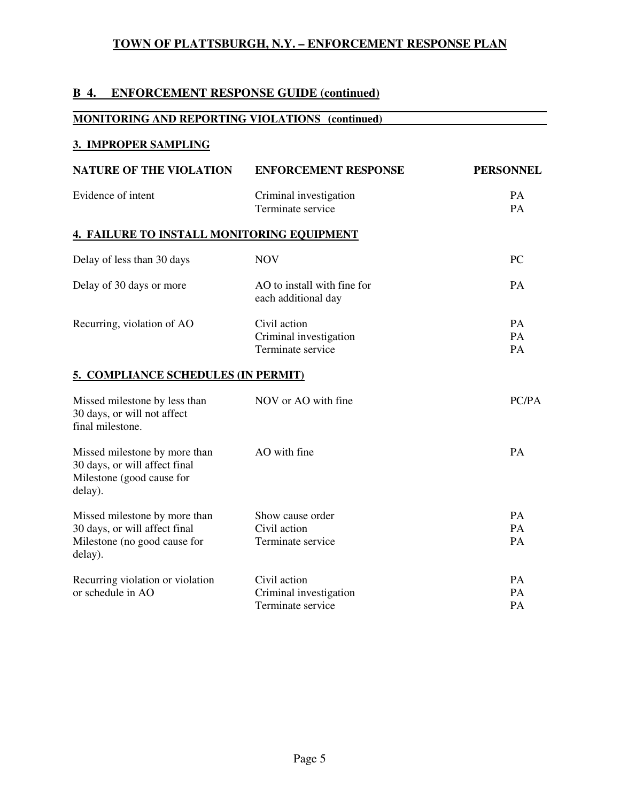# **B 4. ENFORCEMENT RESPONSE GUIDE (continued)**

### **MONITORING AND REPORTING VIOLATIONS (continued)**

### **3. IMPROPER SAMPLING**

| <b>NATURE OF THE VIOLATION</b>                                                                            | <b>ENFORCEMENT RESPONSE</b>                                 | <b>PERSONNEL</b> |
|-----------------------------------------------------------------------------------------------------------|-------------------------------------------------------------|------------------|
| Evidence of intent                                                                                        | Criminal investigation<br>Terminate service                 | <b>PA</b><br>PA  |
| 4. FAILURE TO INSTALL MONITORING EQUIPMENT                                                                |                                                             |                  |
| Delay of less than 30 days                                                                                | <b>NOV</b>                                                  | PC               |
| Delay of 30 days or more                                                                                  | AO to install with fine for<br>each additional day          | PA               |
| Recurring, violation of AO                                                                                | Civil action<br>Criminal investigation<br>Terminate service | PA<br>PA<br>PA   |
| 5. COMPLIANCE SCHEDULES (IN PERMIT)                                                                       |                                                             |                  |
| Missed milestone by less than<br>30 days, or will not affect<br>final milestone.                          | NOV or AO with fine                                         | PC/PA            |
| Missed milestone by more than<br>30 days, or will affect final<br>Milestone (good cause for<br>delay).    | AO with fine                                                | PA               |
| Missed milestone by more than<br>30 days, or will affect final<br>Milestone (no good cause for<br>delay). | Show cause order<br>Civil action<br>Terminate service       | PA<br>PA<br>PA   |
| Recurring violation or violation<br>or schedule in AO                                                     | Civil action<br>Criminal investigation<br>Terminate service | PA<br>PA<br>PA   |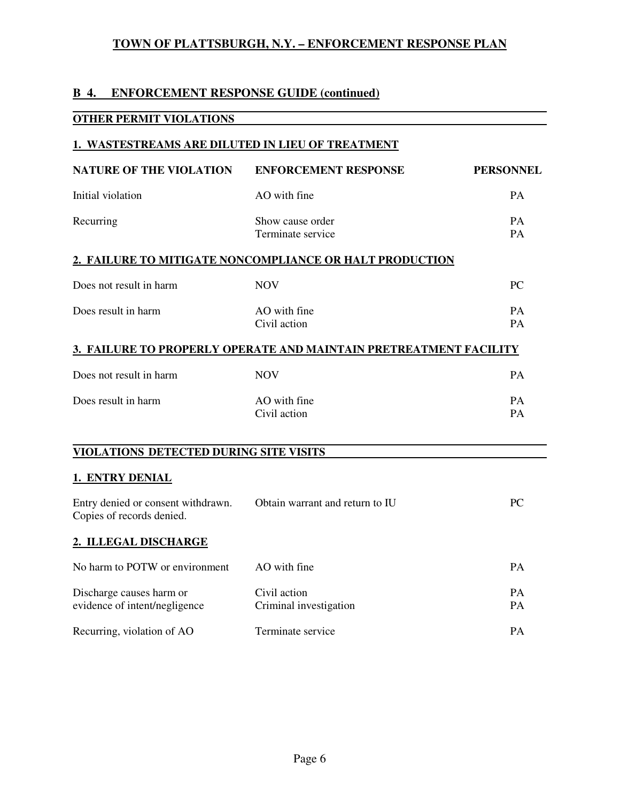# **B 4. ENFORCEMENT RESPONSE GUIDE (continued)**

### **OTHER PERMIT VIOLATIONS**

#### **1. WASTESTREAMS ARE DILUTED IN LIEU OF TREATMENT**

| <b>NATURE OF THE VIOLATION</b>                                  | <b>ENFORCEMENT RESPONSE</b>                                       | <b>PERSONNEL</b> |
|-----------------------------------------------------------------|-------------------------------------------------------------------|------------------|
| Initial violation                                               | AO with fine                                                      | <b>PA</b>        |
| Recurring                                                       | Show cause order<br>Terminate service                             | PA<br>PA         |
|                                                                 | 2. FAILURE TO MITIGATE NONCOMPLIANCE OR HALT PRODUCTION           |                  |
| Does not result in harm                                         | <b>NOV</b>                                                        | PC               |
| Does result in harm                                             | AO with fine<br>Civil action                                      | PA<br>PA         |
|                                                                 | 3. FAILURE TO PROPERLY OPERATE AND MAINTAIN PRETREATMENT FACILITY |                  |
| Does not result in harm                                         | <b>NOV</b>                                                        | PA               |
| Does result in harm                                             | AO with fine<br>Civil action                                      | PA<br>PA         |
| VIOLATIONS DETECTED DURING SITE VISITS                          |                                                                   |                  |
| 1. ENTRY DENIAL                                                 |                                                                   |                  |
| Entry denied or consent withdrawn.<br>Copies of records denied. | Obtain warrant and return to IU                                   | <b>PC</b>        |
| 2. ILLEGAL DISCHARGE                                            |                                                                   |                  |
| No harm to POTW or environment                                  | AO with fine                                                      | PA               |
| Discharge causes harm or<br>evidence of intent/negligence       | Civil action<br>Criminal investigation                            | <b>PA</b><br>PA  |

Recurring, violation of AO Terminate service PA